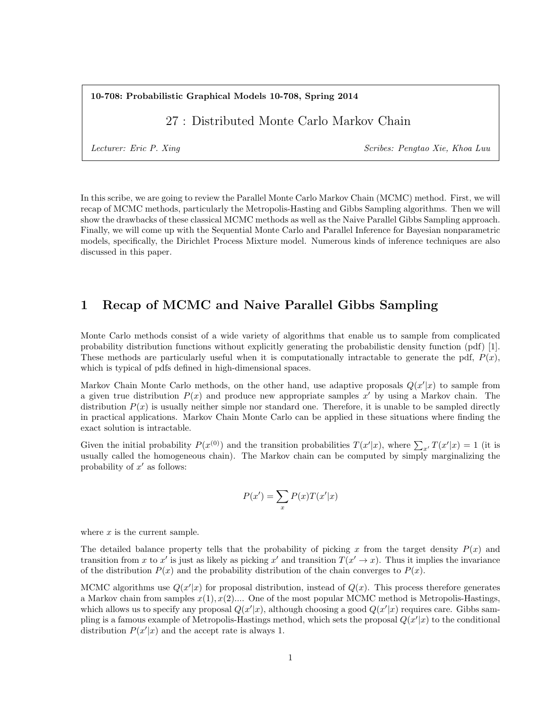10-708: Probabilistic Graphical Models 10-708, Spring 2014

27 : Distributed Monte Carlo Markov Chain

Lecturer: Eric P. Xing Scribes: Pengtao Xie, Khoa Luu

In this scribe, we are going to review the Parallel Monte Carlo Markov Chain (MCMC) method. First, we will recap of MCMC methods, particularly the Metropolis-Hasting and Gibbs Sampling algorithms. Then we will show the drawbacks of these classical MCMC methods as well as the Naive Parallel Gibbs Sampling approach. Finally, we will come up with the Sequential Monte Carlo and Parallel Inference for Bayesian nonparametric models, specifically, the Dirichlet Process Mixture model. Numerous kinds of inference techniques are also discussed in this paper.

## 1 Recap of MCMC and Naive Parallel Gibbs Sampling

Monte Carlo methods consist of a wide variety of algorithms that enable us to sample from complicated probability distribution functions without explicitly generating the probabilistic density function (pdf) [1]. These methods are particularly useful when it is computationally intractable to generate the pdf,  $P(x)$ , which is typical of pdfs defined in high-dimensional spaces.

Markov Chain Monte Carlo methods, on the other hand, use adaptive proposals  $Q(x'|x)$  to sample from a given true distribution  $P(x)$  and produce new appropriate samples x' by using a Markov chain. The distribution  $P(x)$  is usually neither simple nor standard one. Therefore, it is unable to be sampled directly in practical applications. Markov Chain Monte Carlo can be applied in these situations where finding the exact solution is intractable.

Given the initial probability  $P(x^{(0)})$  and the transition probabilities  $T(x'|x)$ , where  $\sum_{x'} T(x'|x) = 1$  (it is usually called the homogeneous chain). The Markov chain can be computed by simply marginalizing the probability of  $x'$  as follows:

$$
P(x') = \sum_{x} P(x)T(x'|x)
$$

where  $x$  is the current sample.

The detailed balance property tells that the probability of picking x from the target density  $P(x)$  and transition from x to x' is just as likely as picking x' and transition  $T(x' \to x)$ . Thus it implies the invariance of the distribution  $P(x)$  and the probability distribution of the chain converges to  $P(x)$ .

MCMC algorithms use  $Q(x'|x)$  for proposal distribution, instead of  $Q(x)$ . This process therefore generates a Markov chain from samples  $x(1), x(2)$ .... One of the most popular MCMC method is Metropolis-Hastings, which allows us to specify any proposal  $Q(x'|x)$ , although choosing a good  $Q(x'|x)$  requires care. Gibbs sampling is a famous example of Metropolis-Hastings method, which sets the proposal  $Q(x'|x)$  to the conditional distribution  $P(x'|x)$  and the accept rate is always 1.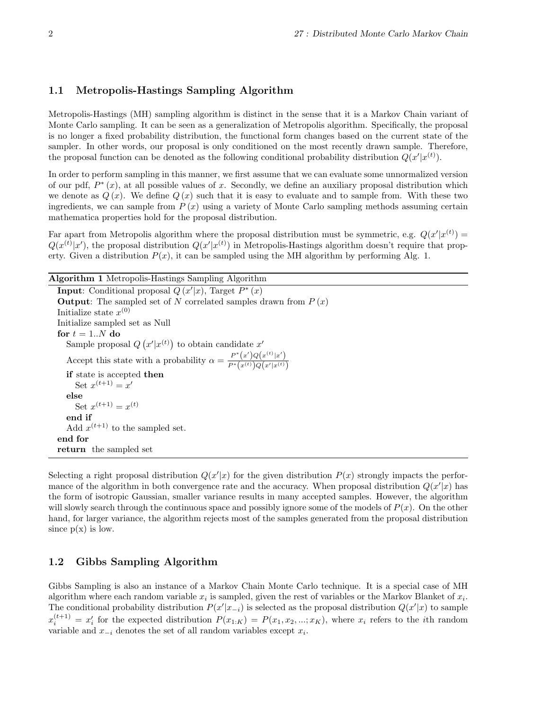#### 1.1 Metropolis-Hastings Sampling Algorithm

Metropolis-Hastings (MH) sampling algorithm is distinct in the sense that it is a Markov Chain variant of Monte Carlo sampling. It can be seen as a generalization of Metropolis algorithm. Specifically, the proposal is no longer a fixed probability distribution, the functional form changes based on the current state of the sampler. In other words, our proposal is only conditioned on the most recently drawn sample. Therefore, the proposal function can be denoted as the following conditional probability distribution  $Q(x'|x^{(t)})$ .

In order to perform sampling in this manner, we first assume that we can evaluate some unnormalized version of our pdf,  $P^*(x)$ , at all possible values of x. Secondly, we define an auxiliary proposal distribution which we denote as  $Q(x)$ . We define  $Q(x)$  such that it is easy to evaluate and to sample from. With these two ingredients, we can sample from  $P(x)$  using a variety of Monte Carlo sampling methods assuming certain mathematica properties hold for the proposal distribution.

Far apart from Metropolis algorithm where the proposal distribution must be symmetric, e.g.  $Q(x'|x^{(t)}) =$  $Q(x^{(t)}|x')$ , the proposal distribution  $Q(x'|x^{(t)})$  in Metropolis-Hastings algorithm doesn't require that property. Given a distribution  $P(x)$ , it can be sampled using the MH algorithm by performing Alg. 1.

| <b>Algorithm 1</b> Metropolis-Hastings Sampling Algorithm                                              |
|--------------------------------------------------------------------------------------------------------|
| <b>Input:</b> Conditional proposal $Q(x' x)$ , Target $P^*(x)$                                         |
| <b>Output:</b> The sampled set of N correlated samples drawn from $P(x)$                               |
| Initialize state $x^{(0)}$                                                                             |
| Initialize sampled set as Null                                                                         |
| for $t = 1N$ do                                                                                        |
| Sample proposal $Q(x' x^{(t)})$ to obtain candidate x'                                                 |
| Accept this state with a probability $\alpha = \frac{P^*(x')Q(x^{(t)} x')}{P^*(x^{(t)})Q(x' x^{(t)})}$ |
| if state is accepted then                                                                              |
| Set $x^{(t+1)} = x'$                                                                                   |
| else                                                                                                   |
| Set $x^{(t+1)} = x^{(t)}$                                                                              |
| end if                                                                                                 |
| Add $x^{(t+1)}$ to the sampled set.                                                                    |
| end for                                                                                                |
|                                                                                                        |

return the sampled set

Selecting a right proposal distribution  $Q(x'|x)$  for the given distribution  $P(x)$  strongly impacts the performance of the algorithm in both convergence rate and the accuracy. When proposal distribution  $Q(x'|x)$  has the form of isotropic Gaussian, smaller variance results in many accepted samples. However, the algorithm will slowly search through the continuous space and possibly ignore some of the models of  $P(x)$ . On the other hand, for larger variance, the algorithm rejects most of the samples generated from the proposal distribution since  $p(x)$  is low.

### 1.2 Gibbs Sampling Algorithm

Gibbs Sampling is also an instance of a Markov Chain Monte Carlo technique. It is a special case of MH algorithm where each random variable  $x_i$  is sampled, given the rest of variables or the Markov Blanket of  $x_i$ . The conditional probability distribution  $P(x'|x_{-i})$  is selected as the proposal distribution  $Q(x'|x)$  to sample  $x_i^{(t+1)} = x_i'$  for the expected distribution  $P(x_{1:K}) = P(x_1, x_2, ..., x_K)$ , where  $x_i$  refers to the *i*th random variable and  $x_{-i}$  denotes the set of all random variables except  $x_i$ .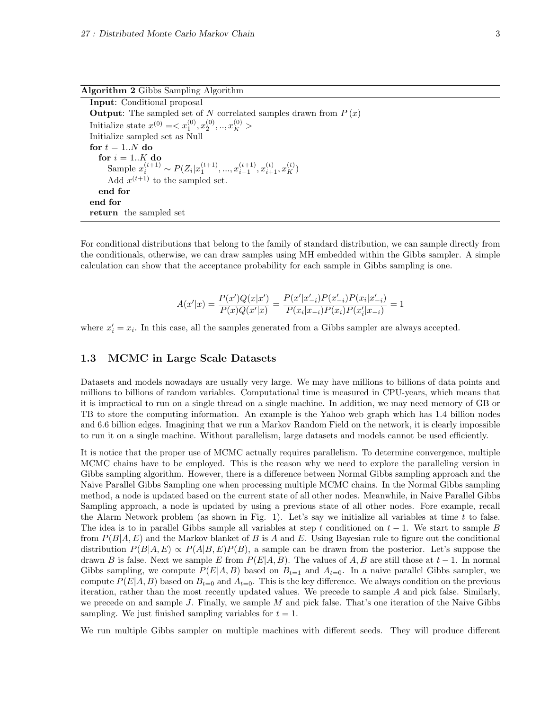Algorithm 2 Gibbs Sampling Algorithm

For conditional distributions that belong to the family of standard distribution, we can sample directly from the conditionals, otherwise, we can draw samples using MH embedded within the Gibbs sampler. A simple calculation can show that the acceptance probability for each sample in Gibbs sampling is one.

$$
A(x'|x) = \frac{P(x')Q(x|x')}{P(x)Q(x'|x)} = \frac{P(x'|x'_{-i})P(x'_{-i})P(x_i|x'_{-i})}{P(x_i|x_{-i})P(x_i)P(x'_i|x_{-i})} = 1
$$

where  $x_i' = x_i$ . In this case, all the samples generated from a Gibbs sampler are always accepted.

#### 1.3 MCMC in Large Scale Datasets

Datasets and models nowadays are usually very large. We may have millions to billions of data points and millions to billions of random variables. Computational time is measured in CPU-years, which means that it is impractical to run on a single thread on a single machine. In addition, we may need memory of GB or TB to store the computing information. An example is the Yahoo web graph which has 1.4 billion nodes and 6.6 billion edges. Imagining that we run a Markov Random Field on the network, it is clearly impossible to run it on a single machine. Without parallelism, large datasets and models cannot be used efficiently.

It is notice that the proper use of MCMC actually requires parallelism. To determine convergence, multiple MCMC chains have to be employed. This is the reason why we need to explore the paralleling version in Gibbs sampling algorithm. However, there is a difference between Normal Gibbs sampling approach and the Naive Parallel Gibbs Sampling one when processing multiple MCMC chains. In the Normal Gibbs sampling method, a node is updated based on the current state of all other nodes. Meanwhile, in Naive Parallel Gibbs Sampling approach, a node is updated by using a previous state of all other nodes. Fore example, recall the Alarm Network problem (as shown in Fig. 1). Let's say we initialize all variables at time  $t$  to false. The idea is to in parallel Gibbs sample all variables at step t conditioned on  $t-1$ . We start to sample B from  $P(B|A, E)$  and the Markov blanket of B is A and E. Using Bayesian rule to figure out the conditional distribution  $P(B|A, E) \propto P(A|B, E)P(B)$ , a sample can be drawn from the posterior. Let's suppose the drawn B is false. Next we sample E from  $P(E|A, B)$ . The values of A, B are still those at  $t-1$ . In normal Gibbs sampling, we compute  $P(E|A, B)$  based on  $B_{t=1}$  and  $A_{t=0}$ . In a naive parallel Gibbs sampler, we compute  $P(E|A, B)$  based on  $B_{t=0}$  and  $A_{t=0}$ . This is the key difference. We always condition on the previous iteration, rather than the most recently updated values. We precede to sample A and pick false. Similarly, we precede on and sample J. Finally, we sample M and pick false. That's one iteration of the Naive Gibbs sampling. We just finished sampling variables for  $t = 1$ .

We run multiple Gibbs sampler on multiple machines with different seeds. They will produce different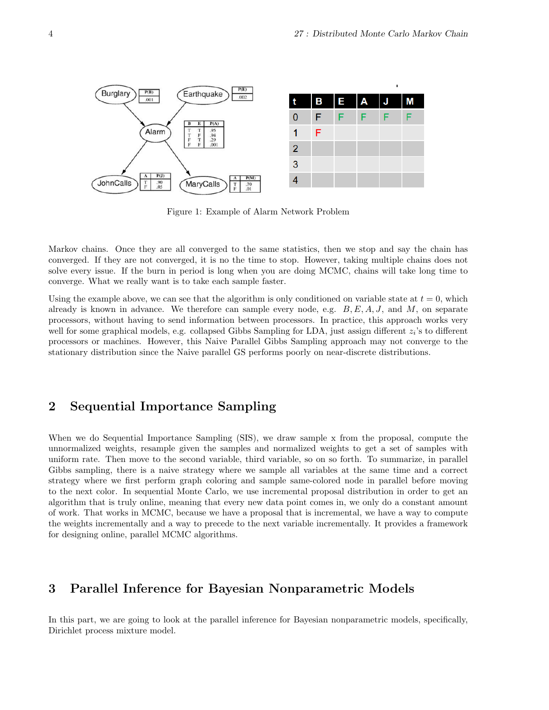

Figure 1: Example of Alarm Network Problem

Markov chains. Once they are all converged to the same statistics, then we stop and say the chain has converged. If they are not converged, it is no the time to stop. However, taking multiple chains does not solve every issue. If the burn in period is long when you are doing MCMC, chains will take long time to converge. What we really want is to take each sample faster.

Using the example above, we can see that the algorithm is only conditioned on variable state at  $t = 0$ , which already is known in advance. We therefore can sample every node, e.g.  $B, E, A, J$ , and M, on separate processors, without having to send information between processors. In practice, this approach works very well for some graphical models, e.g. collapsed Gibbs Sampling for LDA, just assign different  $z_i$ 's to different processors or machines. However, this Naive Parallel Gibbs Sampling approach may not converge to the stationary distribution since the Naive parallel GS performs poorly on near-discrete distributions.

## 2 Sequential Importance Sampling

When we do Sequential Importance Sampling (SIS), we draw sample x from the proposal, compute the unnormalized weights, resample given the samples and normalized weights to get a set of samples with uniform rate. Then move to the second variable, third variable, so on so forth. To summarize, in parallel Gibbs sampling, there is a naive strategy where we sample all variables at the same time and a correct strategy where we first perform graph coloring and sample same-colored node in parallel before moving to the next color. In sequential Monte Carlo, we use incremental proposal distribution in order to get an algorithm that is truly online, meaning that every new data point comes in, we only do a constant amount of work. That works in MCMC, because we have a proposal that is incremental, we have a way to compute the weights incrementally and a way to precede to the next variable incrementally. It provides a framework for designing online, parallel MCMC algorithms.

## 3 Parallel Inference for Bayesian Nonparametric Models

In this part, we are going to look at the parallel inference for Bayesian nonparametric models, specifically, Dirichlet process mixture model.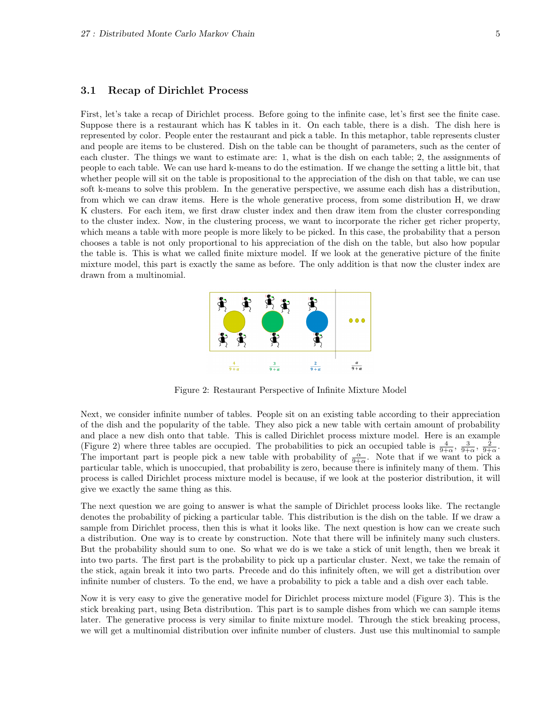### 3.1 Recap of Dirichlet Process

First, let's take a recap of Dirichlet process. Before going to the infinite case, let's first see the finite case. Suppose there is a restaurant which has K tables in it. On each table, there is a dish. The dish here is represented by color. People enter the restaurant and pick a table. In this metaphor, table represents cluster and people are items to be clustered. Dish on the table can be thought of parameters, such as the center of each cluster. The things we want to estimate are: 1, what is the dish on each table; 2, the assignments of people to each table. We can use hard k-means to do the estimation. If we change the setting a little bit, that whether people will sit on the table is propositional to the appreciation of the dish on that table, we can use soft k-means to solve this problem. In the generative perspective, we assume each dish has a distribution, from which we can draw items. Here is the whole generative process, from some distribution H, we draw K clusters. For each item, we first draw cluster index and then draw item from the cluster corresponding to the cluster index. Now, in the clustering process, we want to incorporate the richer get richer property, which means a table with more people is more likely to be picked. In this case, the probability that a person chooses a table is not only proportional to his appreciation of the dish on the table, but also how popular the table is. This is what we called finite mixture model. If we look at the generative picture of the finite mixture model, this part is exactly the same as before. The only addition is that now the cluster index are drawn from a multinomial.



Figure 2: Restaurant Perspective of Infinite Mixture Model

Next, we consider infinite number of tables. People sit on an existing table according to their appreciation of the dish and the popularity of the table. They also pick a new table with certain amount of probability and place a new dish onto that table. This is called Dirichlet process mixture model. Here is an example (Figure 2) where three tables are occupied. The probabilities to pick an occupied table is  $\frac{4}{9+\alpha}$ ,  $\frac{3}{9+\alpha}$ ,  $\frac{2}{9+\alpha}$ . The important part is people pick a new table with probability of  $\frac{\alpha}{9+\alpha}$ . Note that if we want to pick a particular table, which is unoccupied, that probability is zero, because there is infinitely many of them. This process is called Dirichlet process mixture model is because, if we look at the posterior distribution, it will give we exactly the same thing as this.

The next question we are going to answer is what the sample of Dirichlet process looks like. The rectangle denotes the probability of picking a particular table. This distribution is the dish on the table. If we draw a sample from Dirichlet process, then this is what it looks like. The next question is how can we create such a distribution. One way is to create by construction. Note that there will be infinitely many such clusters. But the probability should sum to one. So what we do is we take a stick of unit length, then we break it into two parts. The first part is the probability to pick up a particular cluster. Next, we take the remain of the stick, again break it into two parts. Precede and do this infinitely often, we will get a distribution over infinite number of clusters. To the end, we have a probability to pick a table and a dish over each table.

Now it is very easy to give the generative model for Dirichlet process mixture model (Figure 3). This is the stick breaking part, using Beta distribution. This part is to sample dishes from which we can sample items later. The generative process is very similar to finite mixture model. Through the stick breaking process, we will get a multinomial distribution over infinite number of clusters. Just use this multinomial to sample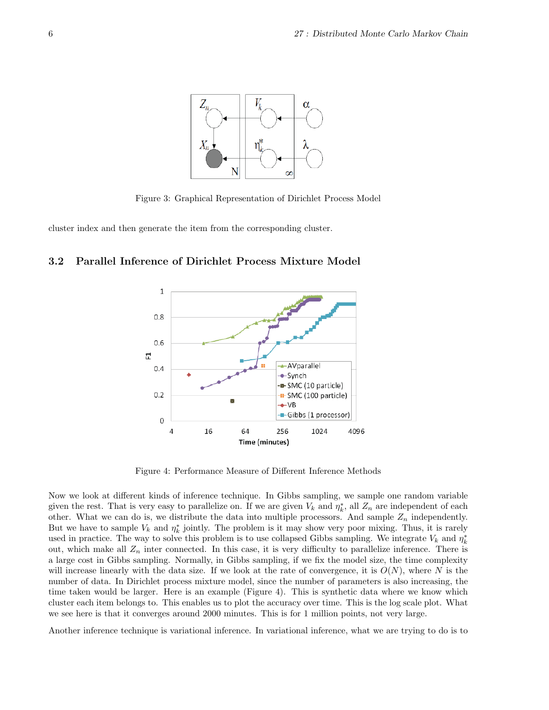

Figure 3: Graphical Representation of Dirichlet Process Model

cluster index and then generate the item from the corresponding cluster.

### 3.2 Parallel Inference of Dirichlet Process Mixture Model



Figure 4: Performance Measure of Different Inference Methods

Now we look at different kinds of inference technique. In Gibbs sampling, we sample one random variable given the rest. That is very easy to parallelize on. If we are given  $V_k$  and  $\eta_k^*$ , all  $Z_n$  are independent of each other. What we can do is, we distribute the data into multiple processors. And sample  $Z_n$  independently. But we have to sample  $V_k$  and  $\eta_k^*$  jointly. The problem is it may show very poor mixing. Thus, it is rarely used in practice. The way to solve this problem is to use collapsed Gibbs sampling. We integrate  $V_k$  and  $\eta_k^*$ out, which make all  $Z_n$  inter connected. In this case, it is very difficulty to parallelize inference. There is a large cost in Gibbs sampling. Normally, in Gibbs sampling, if we fix the model size, the time complexity will increase linearly with the data size. If we look at the rate of convergence, it is  $O(N)$ , where N is the number of data. In Dirichlet process mixture model, since the number of parameters is also increasing, the time taken would be larger. Here is an example (Figure 4). This is synthetic data where we know which cluster each item belongs to. This enables us to plot the accuracy over time. This is the log scale plot. What we see here is that it converges around 2000 minutes. This is for 1 million points, not very large.

Another inference technique is variational inference. In variational inference, what we are trying to do is to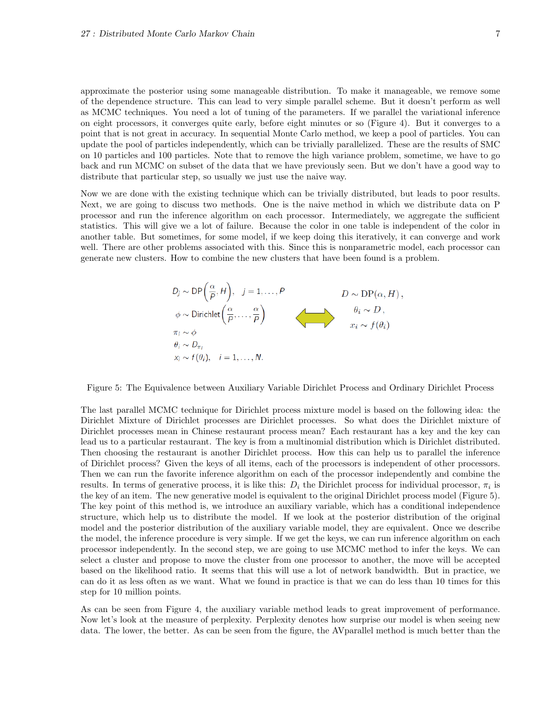approximate the posterior using some manageable distribution. To make it manageable, we remove some of the dependence structure. This can lead to very simple parallel scheme. But it doesn't perform as well as MCMC techniques. You need a lot of tuning of the parameters. If we parallel the variational inference on eight processors, it converges quite early, before eight minutes or so (Figure 4). But it converges to a point that is not great in accuracy. In sequential Monte Carlo method, we keep a pool of particles. You can update the pool of particles independently, which can be trivially parallelized. These are the results of SMC on 10 particles and 100 particles. Note that to remove the high variance problem, sometime, we have to go back and run MCMC on subset of the data that we have previously seen. But we don't have a good way to distribute that particular step, so usually we just use the naive way.

Now we are done with the existing technique which can be trivially distributed, but leads to poor results. Next, we are going to discuss two methods. One is the naive method in which we distribute data on P processor and run the inference algorithm on each processor. Intermediately, we aggregate the sufficient statistics. This will give we a lot of failure. Because the color in one table is independent of the color in another table. But sometimes, for some model, if we keep doing this iteratively, it can converge and work well. There are other problems associated with this. Since this is nonparametric model, each processor can generate new clusters. How to combine the new clusters that have been found is a problem.



Figure 5: The Equivalence between Auxiliary Variable Dirichlet Process and Ordinary Dirichlet Process

The last parallel MCMC technique for Dirichlet process mixture model is based on the following idea: the Dirichlet Mixture of Dirichlet processes are Dirichlet processes. So what does the Dirichlet mixture of Dirichlet processes mean in Chinese restaurant process mean? Each restaurant has a key and the key can lead us to a particular restaurant. The key is from a multinomial distribution which is Dirichlet distributed. Then choosing the restaurant is another Dirichlet process. How this can help us to parallel the inference of Dirichlet process? Given the keys of all items, each of the processors is independent of other processors. Then we can run the favorite inference algorithm on each of the processor independently and combine the results. In terms of generative process, it is like this:  $D_i$  the Dirichlet process for individual processor,  $\pi_i$  is the key of an item. The new generative model is equivalent to the original Dirichlet process model (Figure 5). The key point of this method is, we introduce an auxiliary variable, which has a conditional independence structure, which help us to distribute the model. If we look at the posterior distribution of the original model and the posterior distribution of the auxiliary variable model, they are equivalent. Once we describe the model, the inference procedure is very simple. If we get the keys, we can run inference algorithm on each processor independently. In the second step, we are going to use MCMC method to infer the keys. We can select a cluster and propose to move the cluster from one processor to another, the move will be accepted based on the likelihood ratio. It seems that this will use a lot of network bandwidth. But in practice, we can do it as less often as we want. What we found in practice is that we can do less than 10 times for this step for 10 million points.

As can be seen from Figure 4, the auxiliary variable method leads to great improvement of performance. Now let's look at the measure of perplexity. Perplexity denotes how surprise our model is when seeing new data. The lower, the better. As can be seen from the figure, the AVparallel method is much better than the